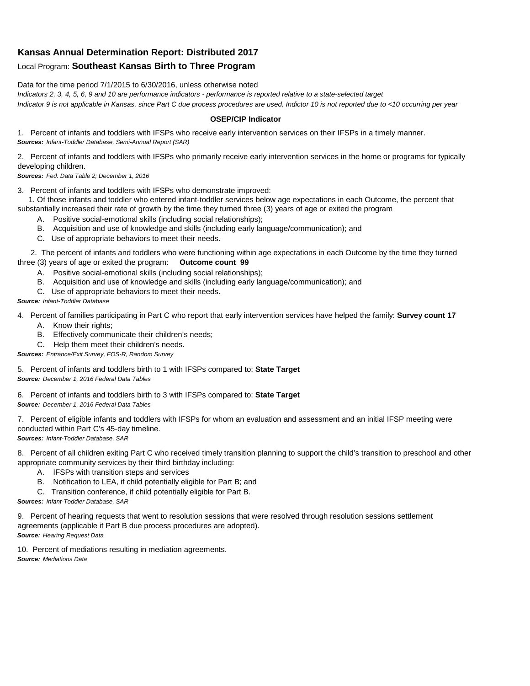## **Kansas Annual Determination Report: Distributed 2017**

## Local Program: **Southeast Kansas Birth to Three Program**

Data for the time period 7/1/2015 to 6/30/2016, unless otherwise noted

*Indicators 2, 3, 4, 5, 6, 9 and 10 are performance indicators - performance is reported relative to a state-selected target Indicator 9 is not applicable in Kansas, since Part C due process procedures are used. Indictor 10 is not reported due to <10 occurring per year*

## **OSEP/CIP Indicator**

1. Percent of infants and toddlers with IFSPs who receive early intervention services on their IFSPs in a timely manner. *Sources: Infant-Toddler Database, Semi-Annual Report (SAR)* 

2. Percent of infants and toddlers with IFSPs who primarily receive early intervention services in the home or programs for typically developing children.

*Sources: Fed. Data Table 2; December 1, 2016*

3. Percent of infants and toddlers with IFSPs who demonstrate improved:

 1. Of those infants and toddler who entered infant-toddler services below age expectations in each Outcome, the percent that substantially increased their rate of growth by the time they turned three (3) years of age or exited the program

- A. Positive social-emotional skills (including social relationships);
- B. Acquisition and use of knowledge and skills (including early language/communication); and
- C. Use of appropriate behaviors to meet their needs.

 2. The percent of infants and toddlers who were functioning within age expectations in each Outcome by the time they turned three (3) years of age or exited the program: **Outcome count 99**

- A. Positive social-emotional skills (including social relationships);
- B. Acquisition and use of knowledge and skills (including early language/communication); and
- C. Use of appropriate behaviors to meet their needs.

## *Source: Infant-Toddler Database*

4. Percent of families participating in Part C who report that early intervention services have helped the family: **Survey count 17**

- A. Know their rights;
- B. Effectively communicate their children's needs;
- C. Help them meet their children's needs.
- *Sources: Entrance/Exit Survey, FOS-R, Random Survey*

5. Percent of infants and toddlers birth to 1 with IFSPs compared to: **State Target** *Source: December 1, 2016 Federal Data Tables*

6. Percent of infants and toddlers birth to 3 with IFSPs compared to: **State Target** *Source: December 1, 2016 Federal Data Tables*

7. Percent of eligible infants and toddlers with IFSPs for whom an evaluation and assessment and an initial IFSP meeting were conducted within Part C's 45-day timeline.

*Sources: Infant-Toddler Database, SAR*

8. Percent of all children exiting Part C who received timely transition planning to support the child's transition to preschool and other appropriate community services by their third birthday including:

- A. IFSPs with transition steps and services
- B. Notification to LEA, if child potentially eligible for Part B; and
- C. Transition conference, if child potentially eligible for Part B.

*Sources: Infant-Toddler Database, SAR*

9. Percent of hearing requests that went to resolution sessions that were resolved through resolution sessions settlement agreements (applicable if Part B due process procedures are adopted). *Source: Hearing Request Data*

10. Percent of mediations resulting in mediation agreements. *Source: Mediations Data*